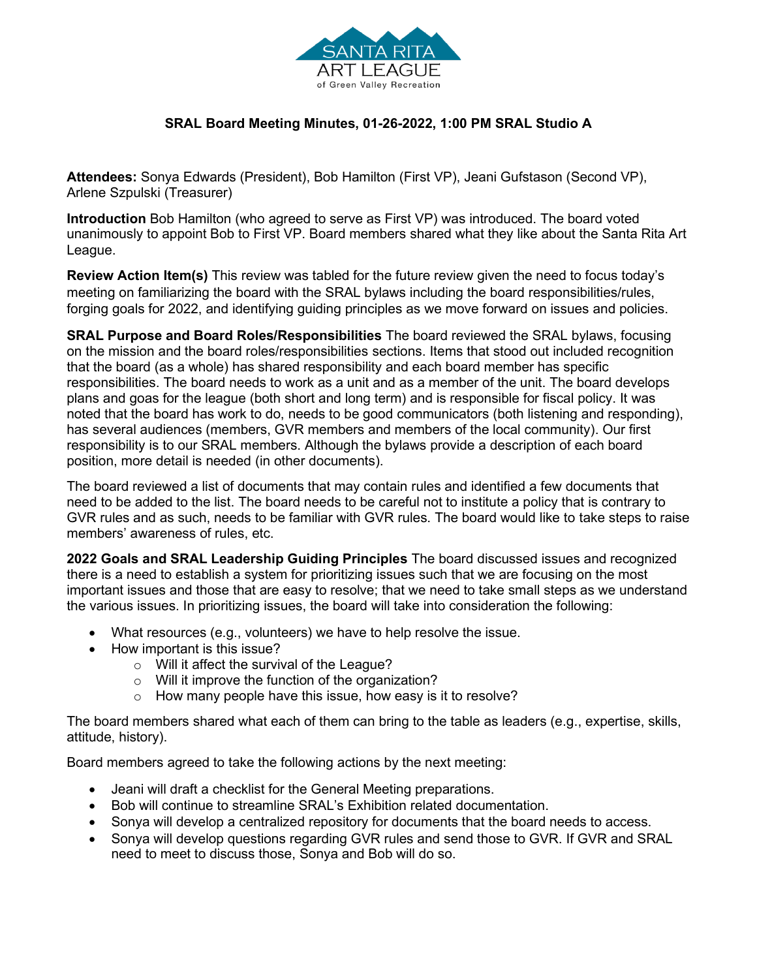

## **SRAL Board Meeting Minutes, 01-26-2022, 1:00 PM SRAL Studio A**

**Attendees:** Sonya Edwards (President), Bob Hamilton (First VP), Jeani Gufstason (Second VP), Arlene Szpulski (Treasurer)

**Introduction** Bob Hamilton (who agreed to serve as First VP) was introduced. The board voted unanimously to appoint Bob to First VP. Board members shared what they like about the Santa Rita Art League.

**Review Action Item(s)** This review was tabled for the future review given the need to focus today's meeting on familiarizing the board with the SRAL bylaws including the board responsibilities/rules, forging goals for 2022, and identifying guiding principles as we move forward on issues and policies.

**SRAL Purpose and Board Roles/Responsibilities** The board reviewed the SRAL bylaws, focusing on the mission and the board roles/responsibilities sections. Items that stood out included recognition that the board (as a whole) has shared responsibility and each board member has specific responsibilities. The board needs to work as a unit and as a member of the unit. The board develops plans and goas for the league (both short and long term) and is responsible for fiscal policy. It was noted that the board has work to do, needs to be good communicators (both listening and responding), has several audiences (members, GVR members and members of the local community). Our first responsibility is to our SRAL members. Although the bylaws provide a description of each board position, more detail is needed (in other documents).

The board reviewed a list of documents that may contain rules and identified a few documents that need to be added to the list. The board needs to be careful not to institute a policy that is contrary to GVR rules and as such, needs to be familiar with GVR rules. The board would like to take steps to raise members' awareness of rules, etc.

**2022 Goals and SRAL Leadership Guiding Principles** The board discussed issues and recognized there is a need to establish a system for prioritizing issues such that we are focusing on the most important issues and those that are easy to resolve; that we need to take small steps as we understand the various issues. In prioritizing issues, the board will take into consideration the following:

- What resources (e.g., volunteers) we have to help resolve the issue.
- How important is this issue?
	- o Will it affect the survival of the League?
	- o Will it improve the function of the organization?
	- o How many people have this issue, how easy is it to resolve?

The board members shared what each of them can bring to the table as leaders (e.g., expertise, skills, attitude, history).

Board members agreed to take the following actions by the next meeting:

- Jeani will draft a checklist for the General Meeting preparations.
- Bob will continue to streamline SRAL's Exhibition related documentation.
- Sonya will develop a centralized repository for documents that the board needs to access.
- Sonya will develop questions regarding GVR rules and send those to GVR. If GVR and SRAL need to meet to discuss those, Sonya and Bob will do so.